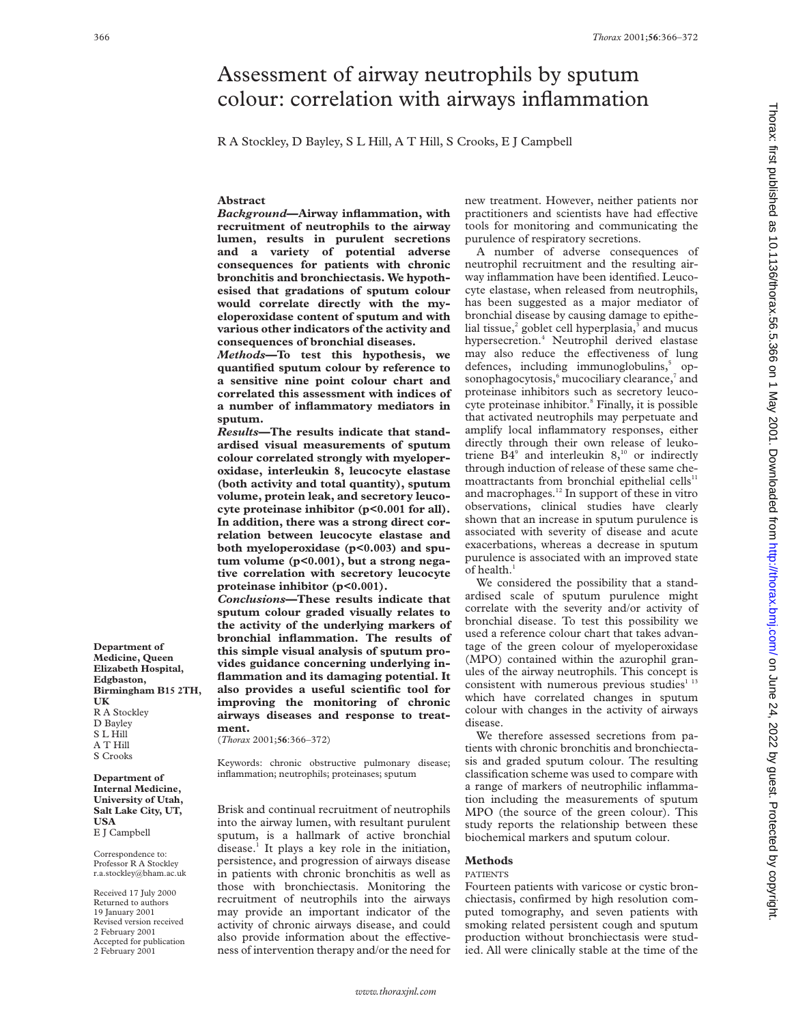# Assessment of airway neutrophils by sputum colour: correlation with airways inflammation

R A Stockley, D Bayley, S L Hill, A T Hill, S Crooks, E J Campbell

# **Abstract**

*Background***—Airway inflammation, with recruitment of neutrophils to the airway lumen, results in purulent secretions and a variety of potential adverse consequences for patients with chronic bronchitis and bronchiectasis. We hypothesised that gradations of sputum colour would correlate directly with the myeloperoxidase content of sputum and with various other indicators of the activity and consequences of bronchial diseases.**

*Methods***—To test this hypothesis, we quantified sputum colour by reference to a sensitive nine point colour chart and correlated this assessment with indices of a number of inflammatory mediators in sputum.**

*Results***—The results indicate that standardised visual measurements of sputum colour correlated strongly with myeloperoxidase, interleukin 8, leucocyte elastase (both activity and total quantity), sputum volume, protein leak, and secretory leucocyte proteinase inhibitor (p<0.001 for all). In addition, there was a strong direct correlation between leucocyte elastase and both myeloperoxidase (p<0.003) and sputum volume (p<0.001), but a strong negative correlation with secretory leucocyte proteinase inhibitor (p<0.001).**

*Conclusions***—These results indicate that sputum colour graded visually relates to the activity of the underlying markers of bronchial inflammation. The results of this simple visual analysis of sputum provides guidance concerning underlying inflammation and its damaging potential. It also provides a useful scientific tool for improving the monitoring of chronic airways diseases and response to treatment.**

(*Thorax* 2001;**56**:366–372)

Keywords: chronic obstructive pulmonary disease; inflammation; neutrophils; proteinases; sputum

Brisk and continual recruitment of neutrophils into the airway lumen, with resultant purulent sputum, is a hallmark of active bronchial disease.<sup>1</sup> It plays a key role in the initiation, persistence, and progression of airways disease in patients with chronic bronchitis as well as those with bronchiectasis. Monitoring the recruitment of neutrophils into the airways may provide an important indicator of the activity of chronic airways disease, and could also provide information about the effectiveness of intervention therapy and/or the need for

new treatment. However, neither patients nor practitioners and scientists have had effective tools for monitoring and communicating the purulence of respiratory secretions.

A number of adverse consequences of neutrophil recruitment and the resulting airway inflammation have been identified. Leucocyte elastase, when released from neutrophils, has been suggested as a major mediator of bronchial disease by causing damage to epithelial tissue, $2$  goblet cell hyperplasia, $3$  and mucus hypersecretion.4 Neutrophil derived elastase may also reduce the effectiveness of lung defences, including immunoglobulins,<sup>5</sup> opsonophagocytosis,<sup>6</sup> mucociliary clearance,<sup>7</sup> and proteinase inhibitors such as secretory leucocyte proteinase inhibitor.<sup>8</sup> Finally, it is possible that activated neutrophils may perpetuate and amplify local inflammatory responses, either directly through their own release of leukotriene  $B4^9$  and interleukin  $8,10$  or indirectly through induction of release of these same chemoattractants from bronchial epithelial cells<sup>11</sup> and macrophages.<sup>12</sup> In support of these in vitro observations, clinical studies have clearly shown that an increase in sputum purulence is associated with severity of disease and acute exacerbations, whereas a decrease in sputum purulence is associated with an improved state of health.<sup>1</sup>

We considered the possibility that a standardised scale of sputum purulence might correlate with the severity and/or activity of bronchial disease. To test this possibility we used a reference colour chart that takes advantage of the green colour of myeloperoxidase (MPO) contained within the azurophil granules of the airway neutrophils. This concept is consistent with numerous previous studies $113$ which have correlated changes in sputum colour with changes in the activity of airways disease.

We therefore assessed secretions from patients with chronic bronchitis and bronchiectasis and graded sputum colour. The resulting classification scheme was used to compare with a range of markers of neutrophilic inflammation including the measurements of sputum MPO (the source of the green colour). This study reports the relationship between these biochemical markers and sputum colour.

#### **Methods**

### PATIENTS

Fourteen patients with varicose or cystic bronchiectasis, confirmed by high resolution computed tomography, and seven patients with smoking related persistent cough and sputum production without bronchiectasis were studied. All were clinically stable at the time of the

**Department of Medicine, Queen Elizabeth Hospital, Edgbaston, Birmingham B15 2TH, UK** R A Stockley D Bayley S L Hill A T Hill S Crooks

**Department of Internal Medicine, University of Utah, Salt Lake City, UT, USA** E J Campbell

Correspondence to: Professor R A Stockley r.a.stockley@bham.ac.uk

Received 17 July 2000 Returned to authors 19 January 2001 Revised version received 2 February 2001 Accepted for publication 2 February 2001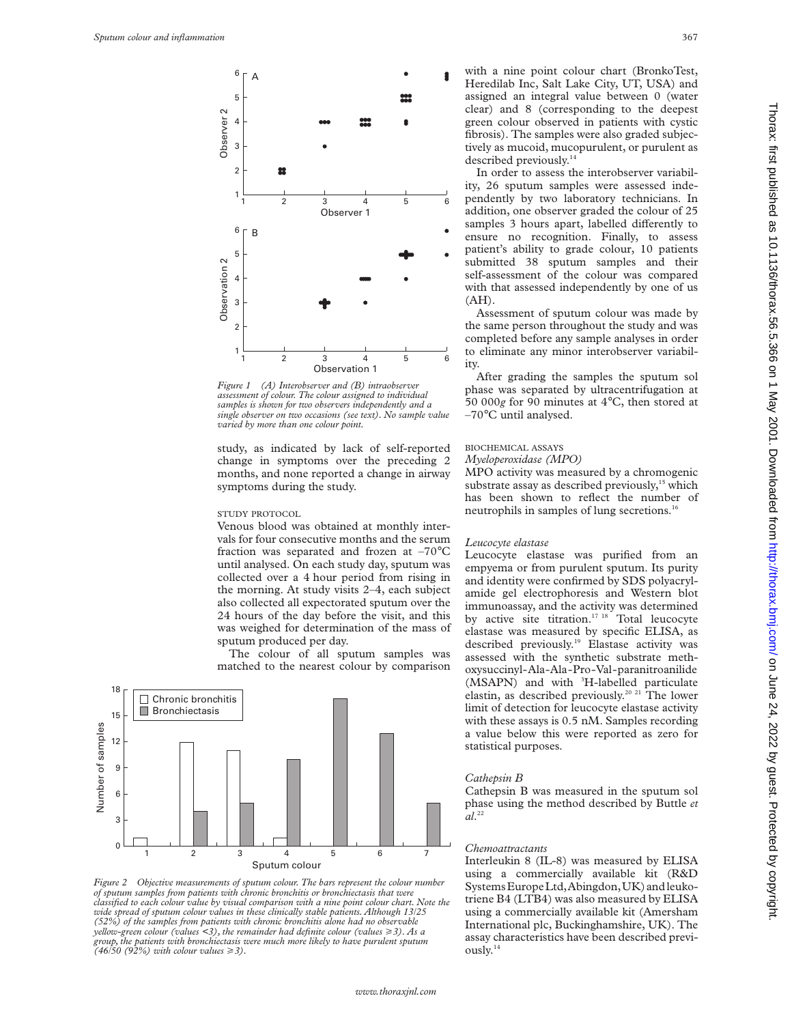

*Figure 1 (A) Interobserver and (B) intraobserver assessment of colour. The colour assigned to individual samples is shown for two observers independently and a single observer on two occasions (see text). No sample value varied by more than one colour point.*

study, as indicated by lack of self-reported change in symptoms over the preceding 2 months, and none reported a change in airway symptoms during the study.

## STUDY PROTOCOL

Venous blood was obtained at monthly intervals for four consecutive months and the serum fraction was separated and frozen at –70°C until analysed. On each study day, sputum was collected over a 4 hour period from rising in the morning. At study visits 2–4, each subject also collected all expectorated sputum over the 24 hours of the day before the visit, and this was weighed for determination of the mass of sputum produced per day.

The colour of all sputum samples was matched to the nearest colour by comparison



*Figure 2 Objective measurements of sputum colour. The bars represent the colour number of sputum samples from patients with chronic bronchitis or bronchiectasis that were classified to each colour value by visual comparison with a nine point colour chart. Note the wide spread of sputum colour values in these clinically stable patients. Although 13/25 (52%) of the samples from patients with chronic bronchitis alone had no observable yellow-green colour (values <3), the remainder had definite colour (values* >*3). As a group, the patients with bronchiectasis were much more likely to have purulent sputum (46/50 (92%) with colour values* >*3).*

with a nine point colour chart (BronkoTest, Heredilab Inc, Salt Lake City, UT, USA) and assigned an integral value between 0 (water clear) and 8 (corresponding to the deepest green colour observed in patients with cystic fibrosis). The samples were also graded subjectively as mucoid, mucopurulent, or purulent as described previously.<sup>14</sup>

In order to assess the interobserver variability, 26 sputum samples were assessed independently by two laboratory technicians. In addition, one observer graded the colour of 25 samples 3 hours apart, labelled differently to ensure no recognition. Finally, to assess patient's ability to grade colour, 10 patients submitted 38 sputum samples and their self-assessment of the colour was compared with that assessed independently by one of us  $(AH)$ .

Assessment of sputum colour was made by the same person throughout the study and was completed before any sample analyses in order to eliminate any minor interobserver variability.

After grading the samples the sputum sol phase was separated by ultracentrifugation at 50 000*g* for 90 minutes at 4°C, then stored at –70°C until analysed.

#### BIOCHEMICAL ASSAYS

#### *Myeloperoxidase (MPO)*

MPO activity was measured by a chromogenic substrate assay as described previously,<sup>15</sup> which has been shown to reflect the number of neutrophils in samples of lung secretions.16

# *Leucocyte elastase*

Leucocyte elastase was purified from an empyema or from purulent sputum. Its purity and identity were confirmed by SDS polyacrylamide gel electrophoresis and Western blot immunoassay, and the activity was determined by active site titration.<sup>17 18</sup> Total leucocyte elastase was measured by specific ELISA, as described previously.<sup>19</sup> Elastase activity was assessed with the synthetic substrate methoxysuccinyl-Ala-Ala-Pro-Val-paranitroanilide (MSAPN) and with <sup>3</sup>H-labelled particulate elastin, as described previously.20 21 The lower limit of detection for leucocyte elastase activity with these assays is 0.5 nM. Samples recording a value below this were reported as zero for statistical purposes.

# *Cathepsin B*

Cathepsin B was measured in the sputum sol phase using the method described by Buttle *et al*. 22

#### *Chemoattractants*

Interleukin 8 (IL-8) was measured by ELISA using a commercially available kit (R&D Systems Europe Ltd, Abingdon, UK) and leukotriene B4 (LTB4) was also measured by ELISA using a commercially available kit (Amersham International plc, Buckinghamshire, UK). The assay characteristics have been described previously.14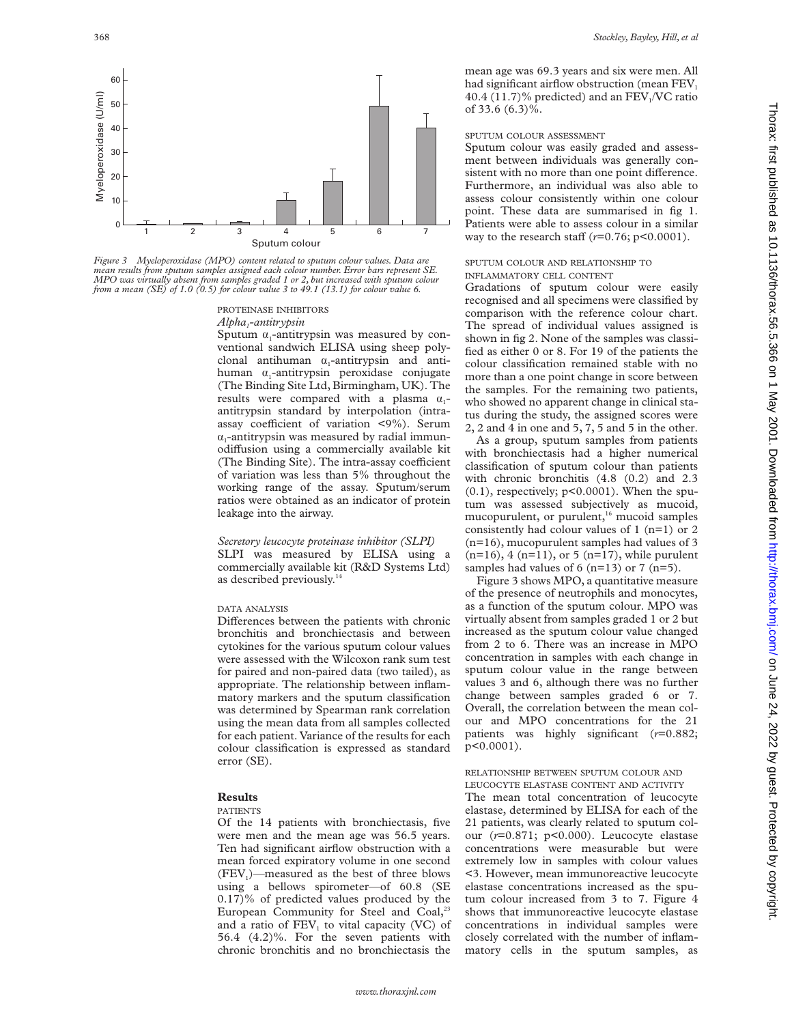

*Figure 3 Myeloperoxidase (MPO) content related to sputum colour values. Data are mean results from sputum samples assigned each colour number. Error bars represent SE. MPO was virtually absent from samples graded 1 or 2, but increased with sputum colour from a mean (SE) of 1.0 (0.5) for colour value 3 to 49.1 (13.1) for colour value 6.*

# PROTEINASE INHIBITORS

*Alpha1-antitrypsin*

Sputum  $\alpha_1$ -antitrypsin was measured by conventional sandwich ELISA using sheep polyclonal antihuman  $\alpha_1$ -antitrypsin and antihuman  $\alpha_1$ -antitrypsin peroxidase conjugate (The Binding Site Ltd, Birmingham, UK). The results were compared with a plasma  $\alpha_1$ antitrypsin standard by interpolation (intraassay coefficient of variation  $\langle 9\% \rangle$ . Serum  $\alpha$ -antitrypsin was measured by radial immunodiffusion using a commercially available kit (The Binding Site). The intra-assay coefficient of variation was less than 5% throughout the working range of the assay. Sputum/serum ratios were obtained as an indicator of protein leakage into the airway.

*Secretory leucocyte proteinase inhibitor (SLPI)* SLPI was measured by ELISA using a commercially available kit (R&D Systems Ltd) as described previously.<sup>14</sup>

# DATA ANALYSIS

Differences between the patients with chronic bronchitis and bronchiectasis and between cytokines for the various sputum colour values were assessed with the Wilcoxon rank sum test for paired and non-paired data (two tailed), as appropriate. The relationship between inflammatory markers and the sputum classification was determined by Spearman rank correlation using the mean data from all samples collected for each patient. Variance of the results for each colour classification is expressed as standard error (SE).

# **Results**

### PATIENTS

Of the 14 patients with bronchiectasis, five were men and the mean age was 56.5 years. Ten had significant airflow obstruction with a mean forced expiratory volume in one second  $(FEV<sub>1</sub>)$ —measured as the best of three blows using a bellows spirometer—of 60.8 (SE 0.17)% of predicted values produced by the European Community for Steel and Coal,<sup>23</sup> and a ratio of  $FEV<sub>1</sub>$  to vital capacity (VC) of 56.4 (4.2)%. For the seven patients with chronic bronchitis and no bronchiectasis the

mean age was 69.3 years and six were men. All had significant airflow obstruction (mean FEV<sub>1</sub> 40.4 (11.7)% predicted) and an  $FEV<sub>1</sub>/VC$  ratio of 33.6 (6.3)%.

### SPUTUM COLOUR ASSESSMENT

Sputum colour was easily graded and assessment between individuals was generally consistent with no more than one point difference. Furthermore, an individual was also able to assess colour consistently within one colour point. These data are summarised in fig 1. Patients were able to assess colour in a similar way to the research staff  $(r=0.76; p<0.0001)$ .

# SPUTUM COLOUR AND RELATIONSHIP TO INFLAMMATORY CELL CONTENT

Gradations of sputum colour were easily recognised and all specimens were classified by comparison with the reference colour chart. The spread of individual values assigned is shown in fig 2. None of the samples was classified as either 0 or 8. For 19 of the patients the colour classification remained stable with no more than a one point change in score between the samples. For the remaining two patients, who showed no apparent change in clinical status during the study, the assigned scores were 2, 2 and 4 in one and 5, 7, 5 and 5 in the other.

As a group, sputum samples from patients with bronchiectasis had a higher numerical classification of sputum colour than patients with chronic bronchitis (4.8 (0.2) and 2.3  $(0.1)$ , respectively;  $p<0.0001$ ). When the sputum was assessed subjectively as mucoid, mucopurulent, or purulent,<sup>16</sup> mucoid samples consistently had colour values of 1 (n=1) or 2 (n=16), mucopurulent samples had values of 3  $(n=16)$ , 4  $(n=11)$ , or 5  $(n=17)$ , while purulent samples had values of 6 ( $n=13$ ) or 7 ( $n=5$ ).

Figure 3 shows MPO, a quantitative measure of the presence of neutrophils and monocytes, as a function of the sputum colour. MPO was virtually absent from samples graded 1 or 2 but increased as the sputum colour value changed from 2 to 6. There was an increase in MPO concentration in samples with each change in sputum colour value in the range between values 3 and 6, although there was no further change between samples graded 6 or 7. Overall, the correlation between the mean colour and MPO concentrations for the 21 patients was highly significant (*r*=0.882; p<0.0001).

#### RELATIONSHIP BETWEEN SPUTUM COLOUR AND LEUCOCYTE ELASTASE CONTENT AND ACTIVITY

The mean total concentration of leucocyte elastase, determined by ELISA for each of the 21 patients, was clearly related to sputum colour (*r*=0.871; p<0.000). Leucocyte elastase concentrations were measurable but were extremely low in samples with colour values <3. However, mean immunoreactive leucocyte elastase concentrations increased as the sputum colour increased from 3 to 7. Figure 4 shows that immunoreactive leucocyte elastase concentrations in individual samples were closely correlated with the number of inflammatory cells in the sputum samples, as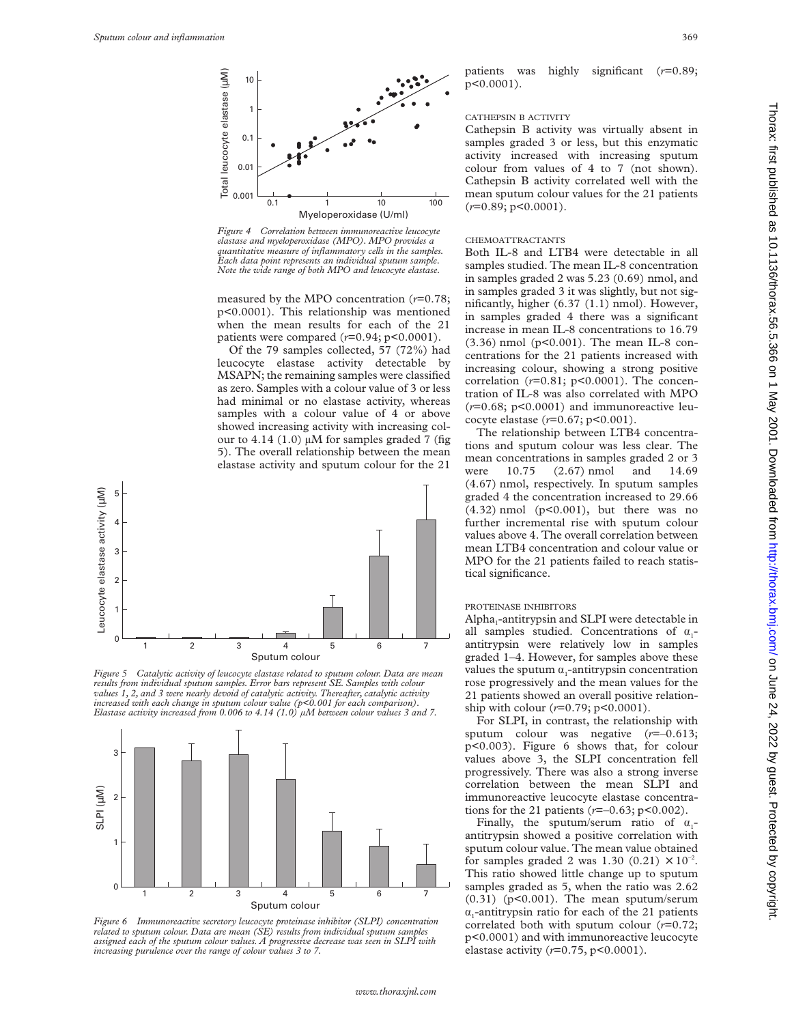

*Figure 4 Correlation between immunoreactive leucocyte elastase and myeloperoxidase (MPO). MPO provides a quantitative measure of inflammatory cells in the samples. Each data point represents an individual sputum sample. Note the wide range of both MPO and leucocyte elastase.*

measured by the MPO concentration (*r*=0.78; p<0.0001). This relationship was mentioned when the mean results for each of the 21 patients were compared  $(r=0.94; p<0.0001)$ .

Of the 79 samples collected, 57 (72%) had leucocyte elastase activity detectable by MSAPN; the remaining samples were classified as zero. Samples with a colour value of 3 or less had minimal or no elastase activity, whereas samples with a colour value of 4 or above showed increasing activity with increasing colour to 4.14 (1.0)  $\mu$ M for samples graded 7 (fig 5). The overall relationship between the mean elastase activity and sputum colour for the 21



*Figure 5 Catalytic activity of leucocyte elastase related to sputum colour. Data are mean results from individual sputum samples. Error bars represent SE. Samples with colour values 1, 2, and 3 were nearly devoid of catalytic activity. Thereafter, catalytic activity increased with each change in sputum colour value (p<0.001 for each comparison). Elastase activity increased from 0.006 to 4.14 (1.0) µM between colour values 3 and 7.*



*Figure 6 Immunoreactive secretory leucocyte proteinase inhibitor (SLPI) concentration related to sputum colour. Data are mean (SE) results from individual sputum samples assigned each of the sputum colour values. A progressive decrease was seen in SLPI with increasing purulence over the range of colour values 3 to 7.*

patients was highly significant (*r*=0.89;

#### CATHEPSIN B ACTIVITY

p<0.0001).

Cathepsin B activity was virtually absent in samples graded 3 or less, but this enzymatic activity increased with increasing sputum colour from values of 4 to 7 (not shown). Cathepsin B activity correlated well with the mean sputum colour values for the 21 patients (*r*=0.89; p<0.0001).

# CHEMOATTRACTANTS

Both IL-8 and LTB4 were detectable in all samples studied. The mean IL-8 concentration in samples graded 2 was 5.23 (0.69) nmol, and in samples graded 3 it was slightly, but not significantly, higher (6.37 (1.1) nmol). However, in samples graded 4 there was a significant increase in mean IL-8 concentrations to 16.79 (3.36) nmol (p<0.001). The mean IL-8 concentrations for the 21 patients increased with increasing colour, showing a strong positive correlation (*r*=0.81; p<0.0001). The concentration of IL-8 was also correlated with MPO  $(r=0.68; p<0.0001)$  and immunoreactive leucocyte elastase (*r*=0.67; p<0.001).

The relationship between LTB4 concentrations and sputum colour was less clear. The mean concentrations in samples graded 2 or 3 were 10.75 (2.67) nmol and 14.69 (4.67) nmol, respectively. In sputum samples graded 4 the concentration increased to 29.66 (4.32) nmol (p<0.001), but there was no further incremental rise with sputum colour values above 4. The overall correlation between mean LTB4 concentration and colour value or MPO for the 21 patients failed to reach statistical significance.

#### PROTEINASE INHIBITORS

Alpha<sub>1</sub>-antitrypsin and SLPI were detectable in all samples studied. Concentrations of  $\alpha$ antitrypsin were relatively low in samples graded 1–4. However, for samples above these values the sputum  $\alpha_1$ -antitrypsin concentration rose progressively and the mean values for the 21 patients showed an overall positive relationship with colour (*r*=0.79; p<0.0001).

For SLPI, in contrast, the relationship with sputum colour was negative (*r*=–0.613; p<0.003). Figure 6 shows that, for colour values above 3, the SLPI concentration fell progressively. There was also a strong inverse correlation between the mean SLPI and immunoreactive leucocyte elastase concentrations for the 21 patients (*r*=–0.63; p<0.002).

Finally, the sputum/serum ratio of  $\alpha$ antitrypsin showed a positive correlation with sputum colour value. The mean value obtained for samples graded 2 was 1.30 (0.21)  $\times$  10<sup>-2</sup>. This ratio showed little change up to sputum samples graded as 5, when the ratio was 2.62  $(0.31)$  (p<0.001). The mean sputum/serum  $\alpha_1$ -antitrypsin ratio for each of the 21 patients correlated both with sputum colour (*r*=0.72; p<0.0001) and with immunoreactive leucocyte elastase activity (*r*=0.75, p<0.0001).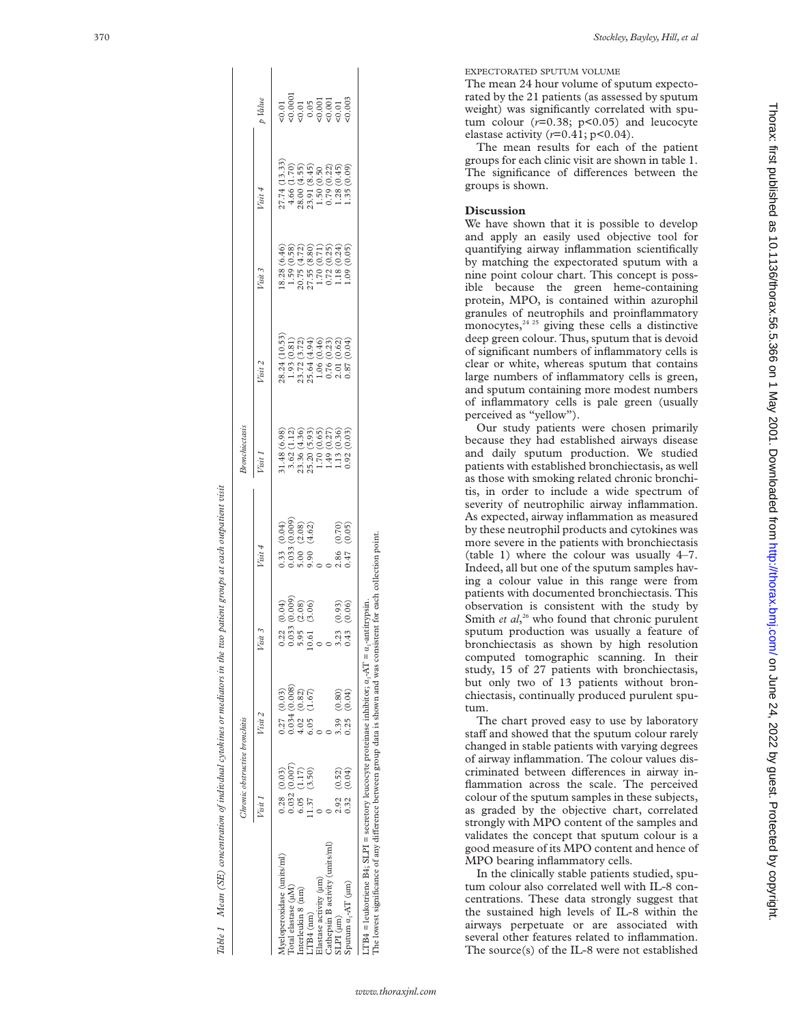|                                 | Chronic obstructive bronchitis |                                                                |                                                                       |                                      | <b>Bronchiectasis</b>                                                                                                                                                    |                                                                                                                                                                               |                                                                                                                                                                           |                                                                                                                                                                          |                                                                         |
|---------------------------------|--------------------------------|----------------------------------------------------------------|-----------------------------------------------------------------------|--------------------------------------|--------------------------------------------------------------------------------------------------------------------------------------------------------------------------|-------------------------------------------------------------------------------------------------------------------------------------------------------------------------------|---------------------------------------------------------------------------------------------------------------------------------------------------------------------------|--------------------------------------------------------------------------------------------------------------------------------------------------------------------------|-------------------------------------------------------------------------|
|                                 | Visit.                         | Visit 2                                                        | Visit 3                                                               | Visit 4                              | Visit 1                                                                                                                                                                  | Visit 2                                                                                                                                                                       | Visit 3                                                                                                                                                                   | Visit 4                                                                                                                                                                  | p Value                                                                 |
| Myeloperoxidase (units/ml)      | $0.28$ $(0.03)$                | 0.27(0.03)                                                     |                                                                       |                                      |                                                                                                                                                                          |                                                                                                                                                                               |                                                                                                                                                                           |                                                                                                                                                                          |                                                                         |
| Total elastase (µM)             | 0.032(0.007)                   | 0.034(0.008)                                                   |                                                                       |                                      |                                                                                                                                                                          |                                                                                                                                                                               |                                                                                                                                                                           |                                                                                                                                                                          |                                                                         |
| Interleukin 8 (nm)              | $6.05$ $(1.17)$                | $\begin{array}{cc} 4.02 & (0.82) \\ 6.05 & (1.67) \end{array}$ | $(0.009)$<br>$(0.009)$<br>$(0.009)$<br>0.22<br>0.033<br>0.05<br>0.000 | (0.04)<br>(0.08)<br>(0.02)<br>(4.62) |                                                                                                                                                                          |                                                                                                                                                                               |                                                                                                                                                                           |                                                                                                                                                                          |                                                                         |
| $LTB4$ (nm)                     | (3.50)<br>1.37                 | (1.67)                                                         |                                                                       |                                      |                                                                                                                                                                          |                                                                                                                                                                               |                                                                                                                                                                           |                                                                                                                                                                          |                                                                         |
| Elastase activity (um)          |                                |                                                                |                                                                       | 33<br>333<br>0000000                 |                                                                                                                                                                          |                                                                                                                                                                               |                                                                                                                                                                           |                                                                                                                                                                          |                                                                         |
| Cathepsin B activity (units/ml) |                                |                                                                |                                                                       |                                      |                                                                                                                                                                          |                                                                                                                                                                               |                                                                                                                                                                           |                                                                                                                                                                          |                                                                         |
| $SLPI$ $(lum)$                  | 2.92 (0.52)                    | 3.39 (0.80)                                                    | $3.23$<br>0.43                                                        | 2.86                                 | $\begin{array}{l} 31.48\ (6.98)\\ 3.62\ (1.12)\\ 3.62\ (1.12)\\ 23.36\ (4.36)\\ 25.20\ (5.93)\\ 1.70\ (0.65)\\ 1.49\ (0.27)\\ 1.13\ (0.36)\\ 1.13\ (0.03)\\ \end{array}$ | $\begin{array}{l} 28.24\ (10.53)\\ 1.93\ (0.81)\\ 1.93\ (0.81)\\ 23.72\ (3.72)\\ 25.64\ (4.94)\\ 0.76\ (0.0.23)\\ 0.76\ (0.0.62)\\ 2.01\ (0.62)\\ 0.87\ (0.04)\\ \end{array}$ | $\begin{array}{c} 18.28\ (6.46)\\ 1.59\ (0.58)\\ 1.59\ (0.58)\\ 220.75\ (4.72)\\ 27.55\ (8.80)\\ 1.70\ (0.71)\\ 1.18\ (0.24)\\ 1.18\ (0.02)\\ 1.10\ (0.05)\\ \end{array}$ | $\begin{array}{l} 27.74\ (13.33)\\ 4.66\ (1.70)\\ 4.66\ (1.70)\\ 23.00\ (4.55)\\ 23.91\ (8.45)\\ 23.91\ (8.45)\\ 0.79\ (0.22)\\ 1.28\ (0.45)\\ 1.35\ (0.09) \end{array}$ | $30000$<br>$30000$<br>$30000$<br>$30000$<br>$30000$<br>$3000$<br>$3000$ |
| Sputum $\alpha_1$ -AT $(\mu m)$ | (0.04)<br>0.32                 | (0.04)<br>0.25                                                 | $(0.93)$<br>$(0.06)$                                                  | $(0.70)$<br>$(0.05)$                 |                                                                                                                                                                          |                                                                                                                                                                               |                                                                                                                                                                           |                                                                                                                                                                          |                                                                         |

 $\overline{1}$ 

370 *Stockley, Bayley, Hill, et al*

EXPECTORATED SPUTUM VOLUME

The mean 24 hour volume of sputum expectorated by the 21 patients (as assessed by sputum weight) was significantly correlated with sputum colour (*r*=0.38; p<0.05) and leucocyte elastase activity  $(r=0.41; p<0.04)$ .

The mean results for each of the patient groups for each clinic visit are shown in table 1. The significance of differences between the groups is shown.

# **Discussion**

We have shown that it is possible to develop and apply an easily used objective tool for quantifying airway inflammation scientifically by matching the expectorated sputum with a nine point colour chart. This concept is possible because the green heme-containing protein, MPO, is contained within azurophil granules of neutrophils and proinflammatory monocytes, $24$ <sup>25</sup> giving these cells a distinctive deep green colour. Thus, sputum that is devoid of significant numbers of inflammatory cells is clear or white, whereas sputum that contains large numbers of inflammatory cells is green, and sputum containing more modest numbers of inflammatory cells is pale green (usually perceived as "yellow").

Our study patients were chosen primarily because they had established airways disease and daily sputum production. We studied patients with established bronchiectasis, as well as those with smoking related chronic bronchitis, in order to include a wide spectrum of severity of neutrophilic airway inflammation. As expected, airway inflammation as measured by these neutrophil products and cytokines was more severe in the patients with bronchiectasis (table 1) where the colour was usually 4–7. Indeed, all but one of the sputum samples having a colour value in this range were from patients with documented bronchiectasis. This observation is consistent with the study by Smith *et al*,<sup>26</sup> who found that chronic purulent sputum production was usually a feature of bronchiectasis as shown by high resolution computed tomographic scanning. In their study, 15 of 27 patients with bronchiectasis, but only two of 13 patients without bronchiectasis, continually produced purulent sputum.

The chart proved easy to use by laboratory staff and showed that the sputum colour rarely changed in stable patients with varying degrees of airway inflammation. The colour values discriminated between differences in airway inflammation across the scale. The perceived colour of the sputum samples in these subjects, as graded by the objective chart, correlated strongly with MPO content of the samples and validates the concept that sputum colour is a good measure of its MPO content and hence of MPO bearing inflammatory cells.

In the clinically stable patients studied, sputum colour also correlated well with IL-8 concentrations. These data strongly suggest that the sustained high levels of IL-8 within the airways perpetuate or are associated with several other features related to inflammation. The source(s) of the IL-8 were not established

The lowest significance of any difference between group data is shown and was consistent for each collection point.

The lowest significance of any difference between group data is

shown

and was consistent for each collection point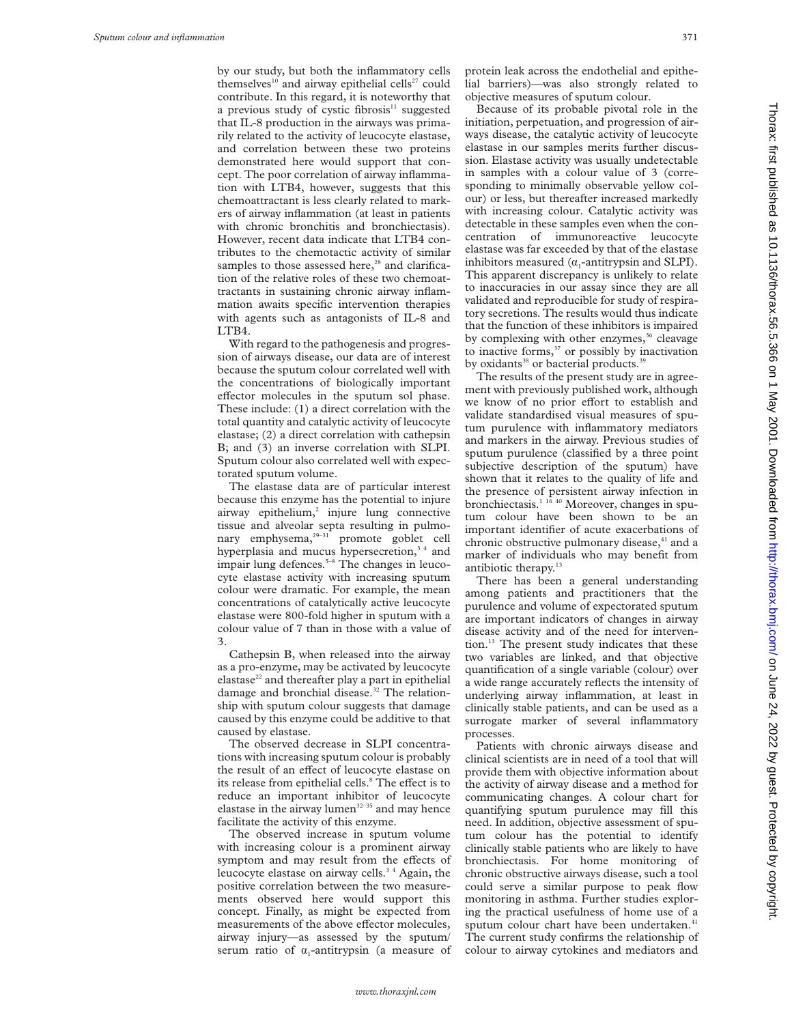by our study, but both the inflammatory cells themselves<sup>10</sup> and airway epithelial cells<sup>27</sup> could contribute. In this regard, it is noteworthy that a previous study of cystic fibrosis $11$  suggested that IL-8 production in the airways was primarily related to the activity of leucocyte elastase, and correlation between these two proteins demonstrated here would support that concept. The poor correlation of airway inflammation with LTB4, however, suggests that this chemoattractant is less clearly related to markers of airway inflammation (at least in patients with chronic bronchitis and bronchiectasis). However, recent data indicate that LTB4 contributes to the chemotactic activity of similar samples to those assessed here, $28$  and clarification of the relative roles of these two chemoattractants in sustaining chronic airway inflammation awaits specific intervention therapies with agents such as antagonists of IL-8 and  $LTB4$ .

With regard to the pathogenesis and progression of airways disease, our data are of interest because the sputum colour correlated well with the concentrations of biologically important effector molecules in the sputum sol phase. These include: (1) a direct correlation with the total quantity and catalytic activity of leucocyte elastase; (2) a direct correlation with cathepsin B; and (3) an inverse correlation with SLPI. Sputum colour also correlated well with expectorated sputum volume.

The elastase data are of particular interest because this enzyme has the potential to injure airway epithelium,<sup>2</sup> injure lung connective tissue and alveolar septa resulting in pulmonary emphysema, $2^{9-31}$  promote goblet cell hyperplasia and mucus hypersecretion,<sup>34</sup> and impair lung defences.<sup>5–8</sup> The changes in leucocyte elastase activity with increasing sputum colour were dramatic. For example, the mean concentrations of catalytically active leucocyte elastase were 800-fold higher in sputum with a colour value of 7 than in those with a value of 3.

Cathepsin B, when released into the airway as a pro-enzyme, may be activated by leucocyte elastase $^{22}$  and thereafter play a part in epithelial damage and bronchial disease.<sup>32</sup> The relationship with sputum colour suggests that damage caused by this enzyme could be additive to that caused by elastase.

The observed decrease in SLPI concentrations with increasing sputum colour is probably the result of an effect of leucocyte elastase on its release from epithelial cells.<sup>8</sup> The effect is to reduce an important inhibitor of leucocyte elastase in the airway lumen $32-35$  and may hence facilitate the activity of this enzyme.

The observed increase in sputum volume with increasing colour is a prominent airway symptom and may result from the effects of leucocyte elastase on airway cells.<sup>34</sup> Again, the positive correlation between the two measurements observed here would support this concept. Finally, as might be expected from measurements of the above effector molecules, airway injury—as assessed by the sputum/ serum ratio of  $\alpha_1$ -antitrypsin (a measure of

protein leak across the endothelial and epithelial barriers)—was also strongly related to objective measures of sputum colour.

Because of its probable pivotal role in the initiation, perpetuation, and progression of airways disease, the catalytic activity of leucocyte elastase in our samples merits further discussion. Elastase activity was usually undetectable in samples with a colour value of 3 (corresponding to minimally observable yellow colour) or less, but thereafter increased markedly with increasing colour. Catalytic activity was detectable in these samples even when the concentration of immunoreactive leucocyte elastase was far exceeded by that of the elastase inhibitors measured  $(\alpha_1$ -antitrypsin and SLPI). This apparent discrepancy is unlikely to relate to inaccuracies in our assay since they are all validated and reproducible for study of respiratory secretions. The results would thus indicate that the function of these inhibitors is impaired by complexing with other enzymes, $36$  cleavage to inactive forms, $37$  or possibly by inactivation by oxidants<sup>38</sup> or bacterial products.<sup>39</sup>

The results of the present study are in agreement with previously published work, although we know of no prior effort to establish and validate standardised visual measures of sputum purulence with inflammatory mediators and markers in the airway. Previous studies of sputum purulence (classified by a three point subjective description of the sputum) have shown that it relates to the quality of life and the presence of persistent airway infection in bronchiectasis.<sup>1 16</sup> <sup>40</sup> Moreover, changes in sputum colour have been shown to be an important identifier of acute exacerbations of chronic obstructive pulmonary disease,<sup>41</sup> and a marker of individuals who may benefit from antibiotic therapy.<sup>13</sup>

There has been a general understanding among patients and practitioners that the purulence and volume of expectorated sputum are important indicators of changes in airway disease activity and of the need for intervention.<sup>13</sup> The present study indicates that these two variables are linked, and that objective quantification of a single variable (colour) over a wide range accurately reflects the intensity of underlying airway inflammation, at least in clinically stable patients, and can be used as a surrogate marker of several inflammatory processes.

Patients with chronic airways disease and clinical scientists are in need of a tool that will provide them with objective information about the activity of airway disease and a method for communicating changes. A colour chart for quantifying sputum purulence may fill this need. In addition, objective assessment of sputum colour has the potential to identify clinically stable patients who are likely to have bronchiectasis. For home monitoring of chronic obstructive airways disease, such a tool could serve a similar purpose to peak flow monitoring in asthma. Further studies exploring the practical usefulness of home use of a sputum colour chart have been undertaken.<sup>41</sup> The current study confirms the relationship of colour to airway cytokines and mediators and